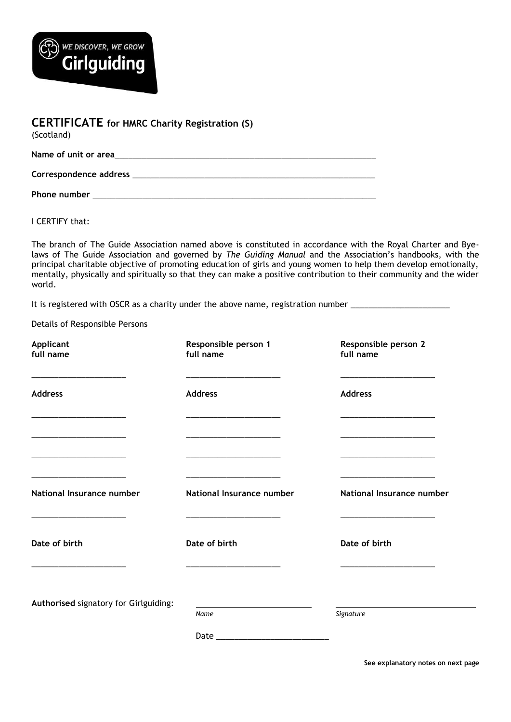

| <b>CERTIFICATE</b> for HMRC Charity Registration (S)<br>(Scotland)                                                                                                                                                             |
|--------------------------------------------------------------------------------------------------------------------------------------------------------------------------------------------------------------------------------|
|                                                                                                                                                                                                                                |
| Correspondence address experience and the state of the state of the state of the state of the state of the state of the state of the state of the state of the state of the state of the state of the state of the state of th |
| Phone number                                                                                                                                                                                                                   |

I CERTIFY that:

The branch of The Guide Association named above is constituted in accordance with the Royal Charter and Byelaws of The Guide Association and governed by *The Guiding Manual* and the Association's handbooks, with the principal charitable objective of promoting education of girls and young women to help them develop emotionally, mentally, physically and spiritually so that they can make a positive contribution to their community and the wider world.

It is registered with OSCR as a charity under the above name, registration number \_\_\_\_\_\_\_\_\_\_\_\_\_\_\_\_\_\_\_\_\_\_\_\_\_\_\_

Details of Responsible Persons

| Applicant<br>full name                                                                                                                                                                                                                                 | Responsible person 1<br>full name                                                                                     | Responsible person 2<br>full name                                                                                                                                                                                                                      |
|--------------------------------------------------------------------------------------------------------------------------------------------------------------------------------------------------------------------------------------------------------|-----------------------------------------------------------------------------------------------------------------------|--------------------------------------------------------------------------------------------------------------------------------------------------------------------------------------------------------------------------------------------------------|
| <b>Address</b><br><u> 1989 - Johann Harry Harry Harry Harry Harry Harry Harry Harry Harry Harry Harry Harry Harry Harry Harry Harry Harry Harry Harry Harry Harry Harry Harry Harry Harry Harry Harry Harry Harry Harry Harry Harry Harry Harry Ha</u> | <b>Address</b><br><u> 1989 - Andrea Station, amerikansk politik (</u>                                                 | <b>Address</b><br><u> 1989 - Johann Harry Harry Harry Harry Harry Harry Harry Harry Harry Harry Harry Harry Harry Harry Harry Harry Harry Harry Harry Harry Harry Harry Harry Harry Harry Harry Harry Harry Harry Harry Harry Harry Harry Harry Ha</u> |
| <u> 1989 - Johann John Stone, markin amerikan bisa di sebagai pertama dan bagi pertama dan bagi pertama dan bagi </u>                                                                                                                                  | <u> 1980 - Johann John Stone, markin amerikan bisa di sebagai pertama dan bagi pertama dan bagi pertama dan bagi </u> |                                                                                                                                                                                                                                                        |
| National Insurance number                                                                                                                                                                                                                              | National Insurance number                                                                                             | National Insurance number                                                                                                                                                                                                                              |
| Date of birth                                                                                                                                                                                                                                          | Date of birth                                                                                                         | Date of birth                                                                                                                                                                                                                                          |
| <u> 1980 - John Harrison, markin amerikan bizkai (</u><br>Authorised signatory for Girlguiding:                                                                                                                                                        | Name                                                                                                                  | Signature                                                                                                                                                                                                                                              |
|                                                                                                                                                                                                                                                        |                                                                                                                       |                                                                                                                                                                                                                                                        |

**See explanatory notes on next page**